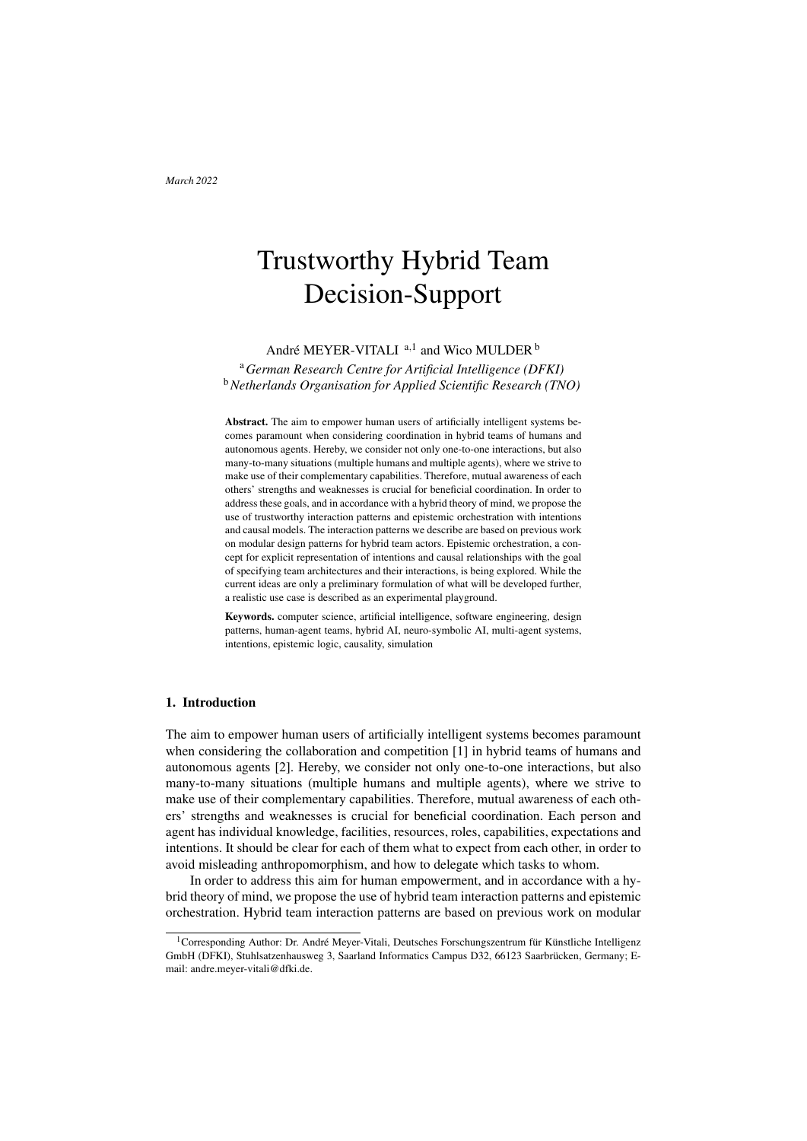# Trustworthy Hybrid Team Decision-Support

André MEYER-VITALI  $a,1$  $a,1$  and Wico MULDER  $b$ 

<span id="page-0-1"></span><span id="page-0-0"></span><sup>a</sup>*German Research Centre for Artificial Intelligence (DFKI)* <sup>b</sup>*Netherlands Organisation for Applied Scientific Research (TNO)*

Abstract. The aim to empower human users of artificially intelligent systems becomes paramount when considering coordination in hybrid teams of humans and autonomous agents. Hereby, we consider not only one-to-one interactions, but also many-to-many situations (multiple humans and multiple agents), where we strive to make use of their complementary capabilities. Therefore, mutual awareness of each others' strengths and weaknesses is crucial for beneficial coordination. In order to address these goals, and in accordance with a hybrid theory of mind, we propose the use of trustworthy interaction patterns and epistemic orchestration with intentions and causal models. The interaction patterns we describe are based on previous work on modular design patterns for hybrid team actors. Epistemic orchestration, a concept for explicit representation of intentions and causal relationships with the goal of specifying team architectures and their interactions, is being explored. While the current ideas are only a preliminary formulation of what will be developed further, a realistic use case is described as an experimental playground.

Keywords. computer science, artificial intelligence, software engineering, design patterns, human-agent teams, hybrid AI, neuro-symbolic AI, multi-agent systems, intentions, epistemic logic, causality, simulation

# 1. Introduction

The aim to empower human users of artificially intelligent systems becomes paramount when considering the collaboration and competition [\[1\]](#page-8-0) in hybrid teams of humans and autonomous agents [\[2\]](#page-8-1). Hereby, we consider not only one-to-one interactions, but also many-to-many situations (multiple humans and multiple agents), where we strive to make use of their complementary capabilities. Therefore, mutual awareness of each others' strengths and weaknesses is crucial for beneficial coordination. Each person and agent has individual knowledge, facilities, resources, roles, capabilities, expectations and intentions. It should be clear for each of them what to expect from each other, in order to avoid misleading anthropomorphism, and how to delegate which tasks to whom.

In order to address this aim for human empowerment, and in accordance with a hybrid theory of mind, we propose the use of hybrid team interaction patterns and epistemic orchestration. Hybrid team interaction patterns are based on previous work on modular

<sup>&</sup>lt;sup>1</sup>Corresponding Author: Dr. André Meyer-Vitali, Deutsches Forschungszentrum für Künstliche Intelligenz GmbH (DFKI), Stuhlsatzenhausweg 3, Saarland Informatics Campus D32, 66123 Saarbrücken, Germany; Email: andre.meyer-vitali@dfki.de.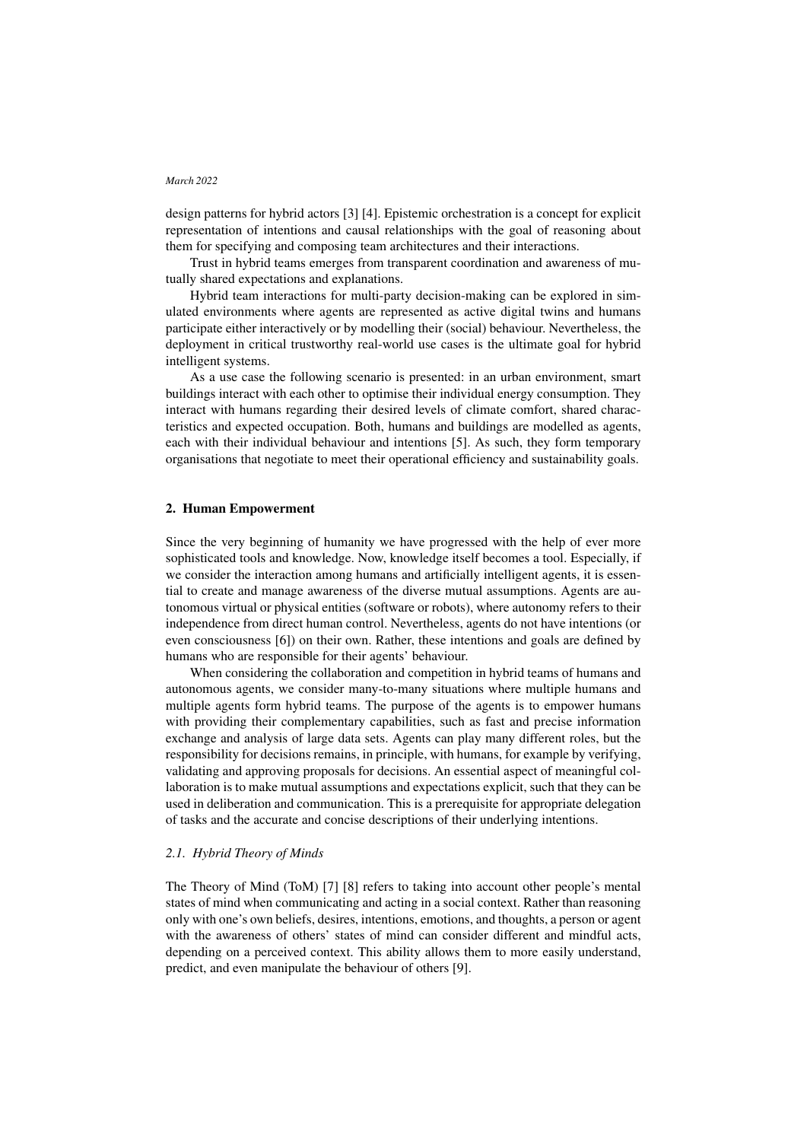design patterns for hybrid actors [\[3\]](#page-8-2) [\[4\]](#page-8-3). Epistemic orchestration is a concept for explicit representation of intentions and causal relationships with the goal of reasoning about them for specifying and composing team architectures and their interactions.

Trust in hybrid teams emerges from transparent coordination and awareness of mutually shared expectations and explanations.

Hybrid team interactions for multi-party decision-making can be explored in simulated environments where agents are represented as active digital twins and humans participate either interactively or by modelling their (social) behaviour. Nevertheless, the deployment in critical trustworthy real-world use cases is the ultimate goal for hybrid intelligent systems.

As a use case the following scenario is presented: in an urban environment, smart buildings interact with each other to optimise their individual energy consumption. They interact with humans regarding their desired levels of climate comfort, shared characteristics and expected occupation. Both, humans and buildings are modelled as agents, each with their individual behaviour and intentions [\[5\]](#page-8-4). As such, they form temporary organisations that negotiate to meet their operational efficiency and sustainability goals.

# 2. Human Empowerment

Since the very beginning of humanity we have progressed with the help of ever more sophisticated tools and knowledge. Now, knowledge itself becomes a tool. Especially, if we consider the interaction among humans and artificially intelligent agents, it is essential to create and manage awareness of the diverse mutual assumptions. Agents are autonomous virtual or physical entities (software or robots), where autonomy refers to their independence from direct human control. Nevertheless, agents do not have intentions (or even consciousness [\[6\]](#page-8-5)) on their own. Rather, these intentions and goals are defined by humans who are responsible for their agents' behaviour.

When considering the collaboration and competition in hybrid teams of humans and autonomous agents, we consider many-to-many situations where multiple humans and multiple agents form hybrid teams. The purpose of the agents is to empower humans with providing their complementary capabilities, such as fast and precise information exchange and analysis of large data sets. Agents can play many different roles, but the responsibility for decisions remains, in principle, with humans, for example by verifying, validating and approving proposals for decisions. An essential aspect of meaningful collaboration is to make mutual assumptions and expectations explicit, such that they can be used in deliberation and communication. This is a prerequisite for appropriate delegation of tasks and the accurate and concise descriptions of their underlying intentions.

# *2.1. Hybrid Theory of Minds*

The Theory of Mind (ToM) [\[7\]](#page-8-6) [\[8\]](#page-8-7) refers to taking into account other people's mental states of mind when communicating and acting in a social context. Rather than reasoning only with one's own beliefs, desires, intentions, emotions, and thoughts, a person or agent with the awareness of others' states of mind can consider different and mindful acts, depending on a perceived context. This ability allows them to more easily understand, predict, and even manipulate the behaviour of others [\[9\]](#page-8-8).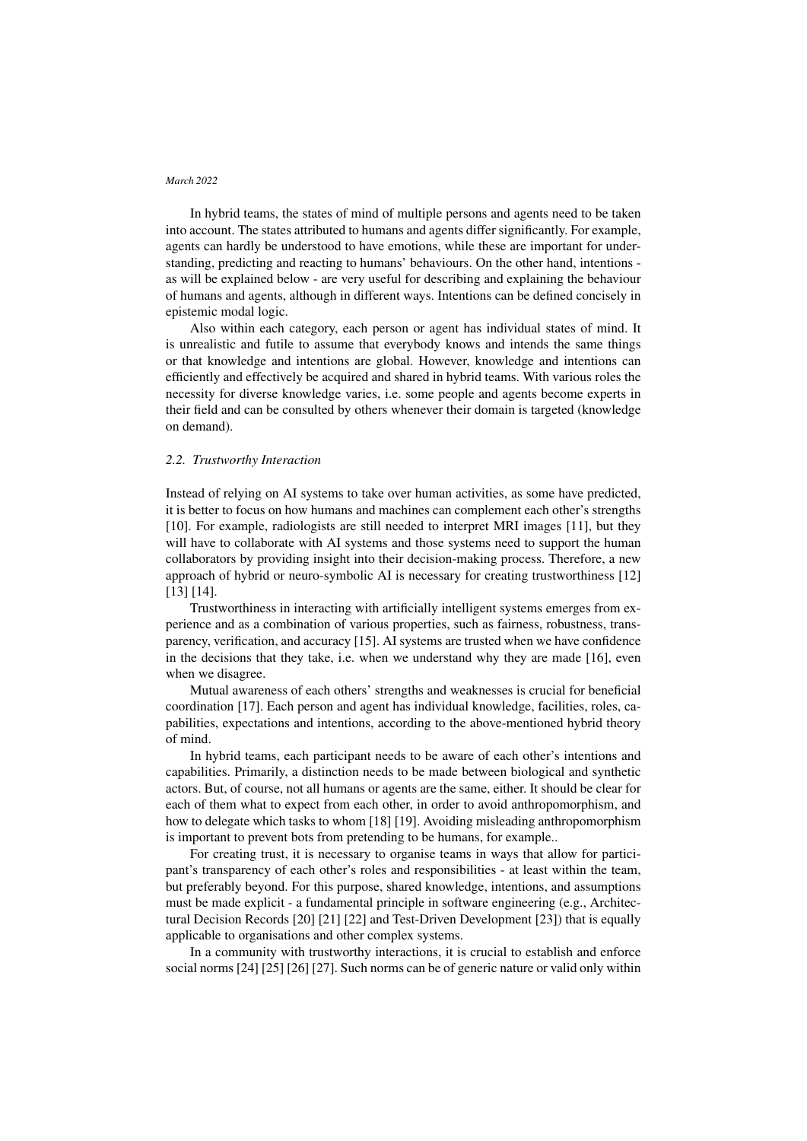In hybrid teams, the states of mind of multiple persons and agents need to be taken into account. The states attributed to humans and agents differ significantly. For example, agents can hardly be understood to have emotions, while these are important for understanding, predicting and reacting to humans' behaviours. On the other hand, intentions as will be explained below - are very useful for describing and explaining the behaviour of humans and agents, although in different ways. Intentions can be defined concisely in epistemic modal logic.

Also within each category, each person or agent has individual states of mind. It is unrealistic and futile to assume that everybody knows and intends the same things or that knowledge and intentions are global. However, knowledge and intentions can efficiently and effectively be acquired and shared in hybrid teams. With various roles the necessity for diverse knowledge varies, i.e. some people and agents become experts in their field and can be consulted by others whenever their domain is targeted (knowledge on demand).

# *2.2. Trustworthy Interaction*

Instead of relying on AI systems to take over human activities, as some have predicted, it is better to focus on how humans and machines can complement each other's strengths [\[10\]](#page-8-9). For example, radiologists are still needed to interpret MRI images [\[11\]](#page-8-10), but they will have to collaborate with AI systems and those systems need to support the human collaborators by providing insight into their decision-making process. Therefore, a new approach of hybrid or neuro-symbolic AI is necessary for creating trustworthiness [\[12\]](#page-9-0) [\[13\]](#page-9-1) [\[14\]](#page-9-2).

Trustworthiness in interacting with artificially intelligent systems emerges from experience and as a combination of various properties, such as fairness, robustness, transparency, verification, and accuracy [\[15\]](#page-9-3). AI systems are trusted when we have confidence in the decisions that they take, i.e. when we understand why they are made [\[16\]](#page-9-4), even when we disagree.

Mutual awareness of each others' strengths and weaknesses is crucial for beneficial coordination [\[17\]](#page-9-5). Each person and agent has individual knowledge, facilities, roles, capabilities, expectations and intentions, according to the above-mentioned hybrid theory of mind.

In hybrid teams, each participant needs to be aware of each other's intentions and capabilities. Primarily, a distinction needs to be made between biological and synthetic actors. But, of course, not all humans or agents are the same, either. It should be clear for each of them what to expect from each other, in order to avoid anthropomorphism, and how to delegate which tasks to whom [\[18\]](#page-9-6) [\[19\]](#page-9-7). Avoiding misleading anthropomorphism is important to prevent bots from pretending to be humans, for example..

For creating trust, it is necessary to organise teams in ways that allow for participant's transparency of each other's roles and responsibilities - at least within the team, but preferably beyond. For this purpose, shared knowledge, intentions, and assumptions must be made explicit - a fundamental principle in software engineering (e.g., Architectural Decision Records [\[20\]](#page-9-8) [\[21\]](#page-9-9) [\[22\]](#page-10-0) and Test-Driven Development [\[23\]](#page-10-1)) that is equally applicable to organisations and other complex systems.

In a community with trustworthy interactions, it is crucial to establish and enforce social norms [\[24\]](#page-10-2) [\[25\]](#page-10-3) [\[26\]](#page-10-4) [\[27\]](#page-10-5). Such norms can be of generic nature or valid only within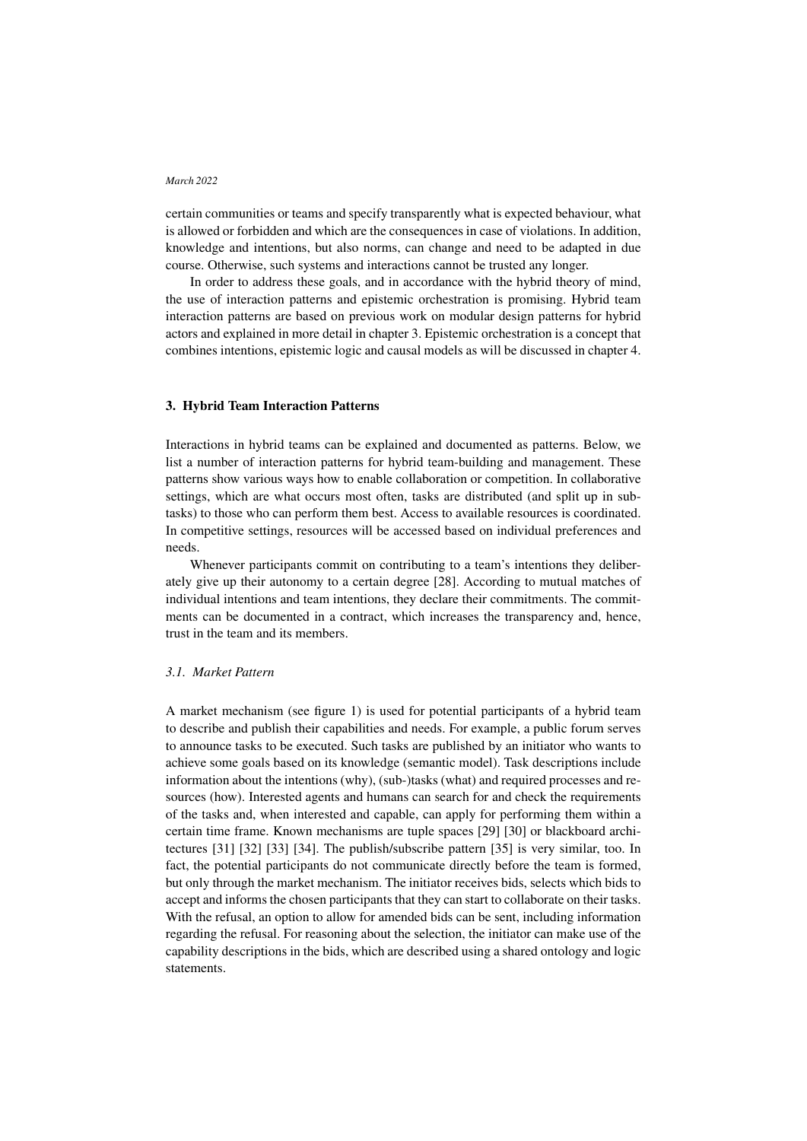certain communities or teams and specify transparently what is expected behaviour, what is allowed or forbidden and which are the consequences in case of violations. In addition, knowledge and intentions, but also norms, can change and need to be adapted in due course. Otherwise, such systems and interactions cannot be trusted any longer.

In order to address these goals, and in accordance with the hybrid theory of mind, the use of interaction patterns and epistemic orchestration is promising. Hybrid team interaction patterns are based on previous work on modular design patterns for hybrid actors and explained in more detail in chapter [3.](#page-3-0) Epistemic orchestration is a concept that combines intentions, epistemic logic and causal models as will be discussed in chapter [4.](#page-5-0)

# <span id="page-3-0"></span>3. Hybrid Team Interaction Patterns

Interactions in hybrid teams can be explained and documented as patterns. Below, we list a number of interaction patterns for hybrid team-building and management. These patterns show various ways how to enable collaboration or competition. In collaborative settings, which are what occurs most often, tasks are distributed (and split up in subtasks) to those who can perform them best. Access to available resources is coordinated. In competitive settings, resources will be accessed based on individual preferences and needs.

Whenever participants commit on contributing to a team's intentions they deliberately give up their autonomy to a certain degree [\[28\]](#page-10-6). According to mutual matches of individual intentions and team intentions, they declare their commitments. The commitments can be documented in a contract, which increases the transparency and, hence, trust in the team and its members.

# *3.1. Market Pattern*

A market mechanism (see figure [1\)](#page-4-0) is used for potential participants of a hybrid team to describe and publish their capabilities and needs. For example, a public forum serves to announce tasks to be executed. Such tasks are published by an initiator who wants to achieve some goals based on its knowledge (semantic model). Task descriptions include information about the intentions (why), (sub-)tasks (what) and required processes and resources (how). Interested agents and humans can search for and check the requirements of the tasks and, when interested and capable, can apply for performing them within a certain time frame. Known mechanisms are tuple spaces [\[29\]](#page-10-7) [\[30\]](#page-10-8) or blackboard architectures [\[31\]](#page-10-9) [\[32\]](#page-10-10) [\[33\]](#page-10-11) [\[34\]](#page-10-12). The publish/subscribe pattern [\[35\]](#page-11-0) is very similar, too. In fact, the potential participants do not communicate directly before the team is formed, but only through the market mechanism. The initiator receives bids, selects which bids to accept and informs the chosen participants that they can start to collaborate on their tasks. With the refusal, an option to allow for amended bids can be sent, including information regarding the refusal. For reasoning about the selection, the initiator can make use of the capability descriptions in the bids, which are described using a shared ontology and logic statements.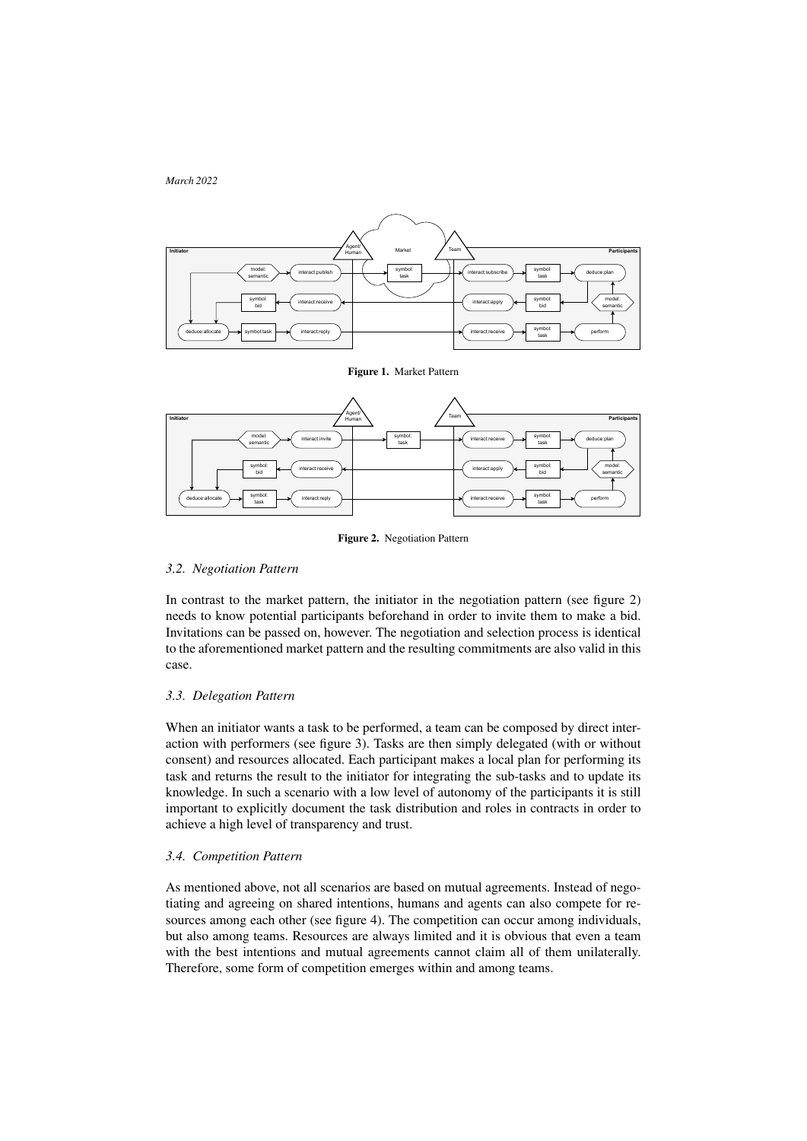

<span id="page-4-0"></span>Figure 1. Market Pattern



<span id="page-4-1"></span>Figure 2. Negotiation Pattern

# *3.2. Negotiation Pattern*

In contrast to the market pattern, the initiator in the negotiation pattern (see figure [2\)](#page-4-1) needs to know potential participants beforehand in order to invite them to make a bid. Invitations can be passed on, however. The negotiation and selection process is identical to the aforementioned market pattern and the resulting commitments are also valid in this case.

# *3.3. Delegation Pattern*

When an initiator wants a task to be performed, a team can be composed by direct interaction with performers (see figure [3\)](#page-5-1). Tasks are then simply delegated (with or without consent) and resources allocated. Each participant makes a local plan for performing its task and returns the result to the initiator for integrating the sub-tasks and to update its knowledge. In such a scenario with a low level of autonomy of the participants it is still important to explicitly document the task distribution and roles in contracts in order to achieve a high level of transparency and trust.

# *3.4. Competition Pattern*

As mentioned above, not all scenarios are based on mutual agreements. Instead of negotiating and agreeing on shared intentions, humans and agents can also compete for resources among each other (see figure [4\)](#page-5-2). The competition can occur among individuals, but also among teams. Resources are always limited and it is obvious that even a team with the best intentions and mutual agreements cannot claim all of them unilaterally. Therefore, some form of competition emerges within and among teams.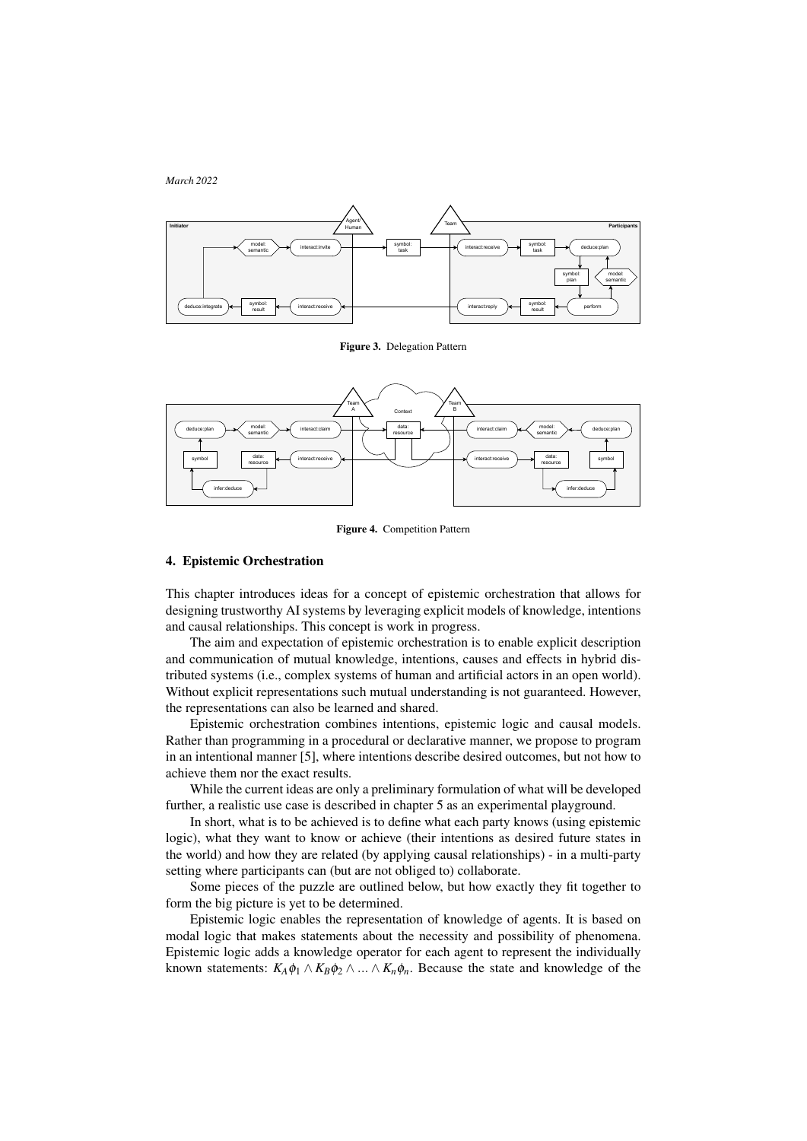



<span id="page-5-1"></span>Figure 3. Delegation Pattern



<span id="page-5-2"></span>Figure 4. Competition Pattern

# <span id="page-5-0"></span>4. Epistemic Orchestration

This chapter introduces ideas for a concept of epistemic orchestration that allows for designing trustworthy AI systems by leveraging explicit models of knowledge, intentions and causal relationships. This concept is work in progress.

The aim and expectation of epistemic orchestration is to enable explicit description and communication of mutual knowledge, intentions, causes and effects in hybrid distributed systems (i.e., complex systems of human and artificial actors in an open world). Without explicit representations such mutual understanding is not guaranteed. However, the representations can also be learned and shared.

Epistemic orchestration combines intentions, epistemic logic and causal models. Rather than programming in a procedural or declarative manner, we propose to program in an intentional manner [\[5\]](#page-8-4), where intentions describe desired outcomes, but not how to achieve them nor the exact results.

While the current ideas are only a preliminary formulation of what will be developed further, a realistic use case is described in chapter [5](#page-6-0) as an experimental playground.

In short, what is to be achieved is to define what each party knows (using epistemic logic), what they want to know or achieve (their intentions as desired future states in the world) and how they are related (by applying causal relationships) - in a multi-party setting where participants can (but are not obliged to) collaborate.

Some pieces of the puzzle are outlined below, but how exactly they fit together to form the big picture is yet to be determined.

Epistemic logic enables the representation of knowledge of agents. It is based on modal logic that makes statements about the necessity and possibility of phenomena. Epistemic logic adds a knowledge operator for each agent to represent the individually known statements:  $K_A \phi_1 \wedge K_B \phi_2 \wedge ... \wedge K_n \phi_n$ . Because the state and knowledge of the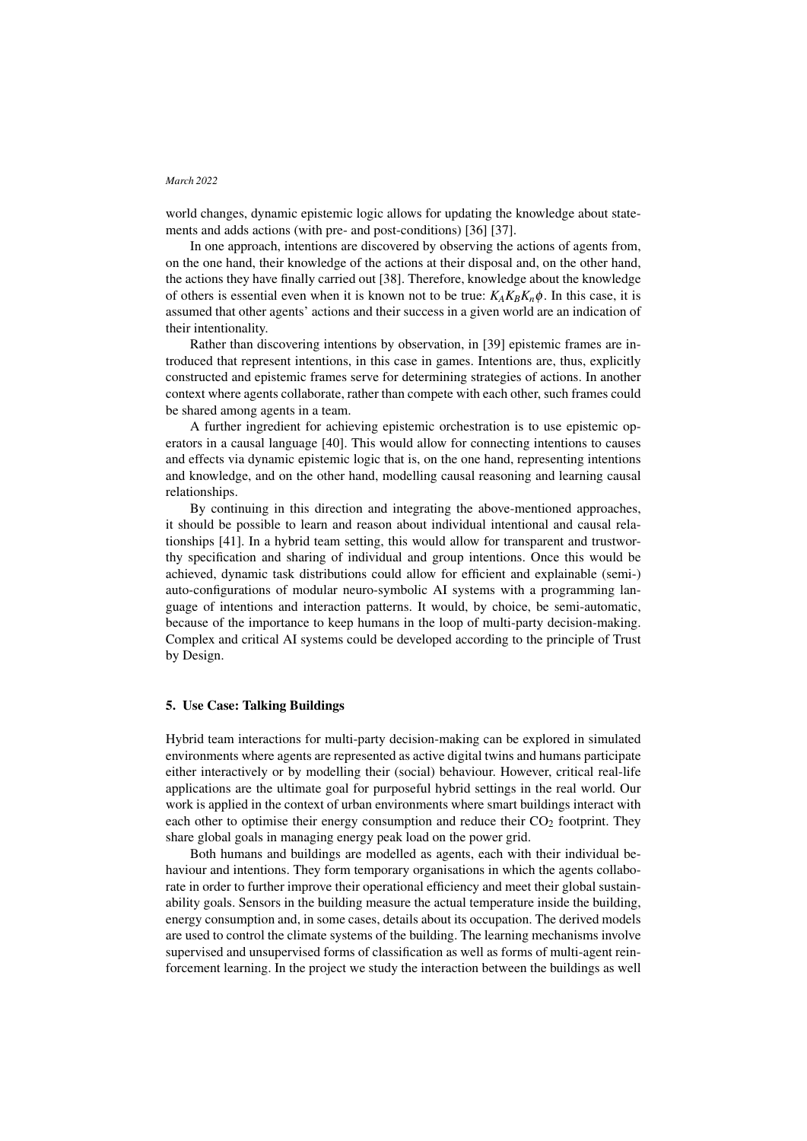world changes, dynamic epistemic logic allows for updating the knowledge about statements and adds actions (with pre- and post-conditions) [\[36\]](#page-11-1) [\[37\]](#page-11-2).

In one approach, intentions are discovered by observing the actions of agents from, on the one hand, their knowledge of the actions at their disposal and, on the other hand, the actions they have finally carried out [\[38\]](#page-11-3). Therefore, knowledge about the knowledge of others is essential even when it is known not to be true:  $K_A K_B K_n \phi$ . In this case, it is assumed that other agents' actions and their success in a given world are an indication of their intentionality.

Rather than discovering intentions by observation, in [\[39\]](#page-11-4) epistemic frames are introduced that represent intentions, in this case in games. Intentions are, thus, explicitly constructed and epistemic frames serve for determining strategies of actions. In another context where agents collaborate, rather than compete with each other, such frames could be shared among agents in a team.

A further ingredient for achieving epistemic orchestration is to use epistemic operators in a causal language [\[40\]](#page-11-5). This would allow for connecting intentions to causes and effects via dynamic epistemic logic that is, on the one hand, representing intentions and knowledge, and on the other hand, modelling causal reasoning and learning causal relationships.

By continuing in this direction and integrating the above-mentioned approaches, it should be possible to learn and reason about individual intentional and causal relationships [\[41\]](#page-11-6). In a hybrid team setting, this would allow for transparent and trustworthy specification and sharing of individual and group intentions. Once this would be achieved, dynamic task distributions could allow for efficient and explainable (semi-) auto-configurations of modular neuro-symbolic AI systems with a programming language of intentions and interaction patterns. It would, by choice, be semi-automatic, because of the importance to keep humans in the loop of multi-party decision-making. Complex and critical AI systems could be developed according to the principle of Trust by Design.

# <span id="page-6-0"></span>5. Use Case: Talking Buildings

Hybrid team interactions for multi-party decision-making can be explored in simulated environments where agents are represented as active digital twins and humans participate either interactively or by modelling their (social) behaviour. However, critical real-life applications are the ultimate goal for purposeful hybrid settings in the real world. Our work is applied in the context of urban environments where smart buildings interact with each other to optimise their energy consumption and reduce their  $CO<sub>2</sub>$  footprint. They share global goals in managing energy peak load on the power grid.

Both humans and buildings are modelled as agents, each with their individual behaviour and intentions. They form temporary organisations in which the agents collaborate in order to further improve their operational efficiency and meet their global sustainability goals. Sensors in the building measure the actual temperature inside the building, energy consumption and, in some cases, details about its occupation. The derived models are used to control the climate systems of the building. The learning mechanisms involve supervised and unsupervised forms of classification as well as forms of multi-agent reinforcement learning. In the project we study the interaction between the buildings as well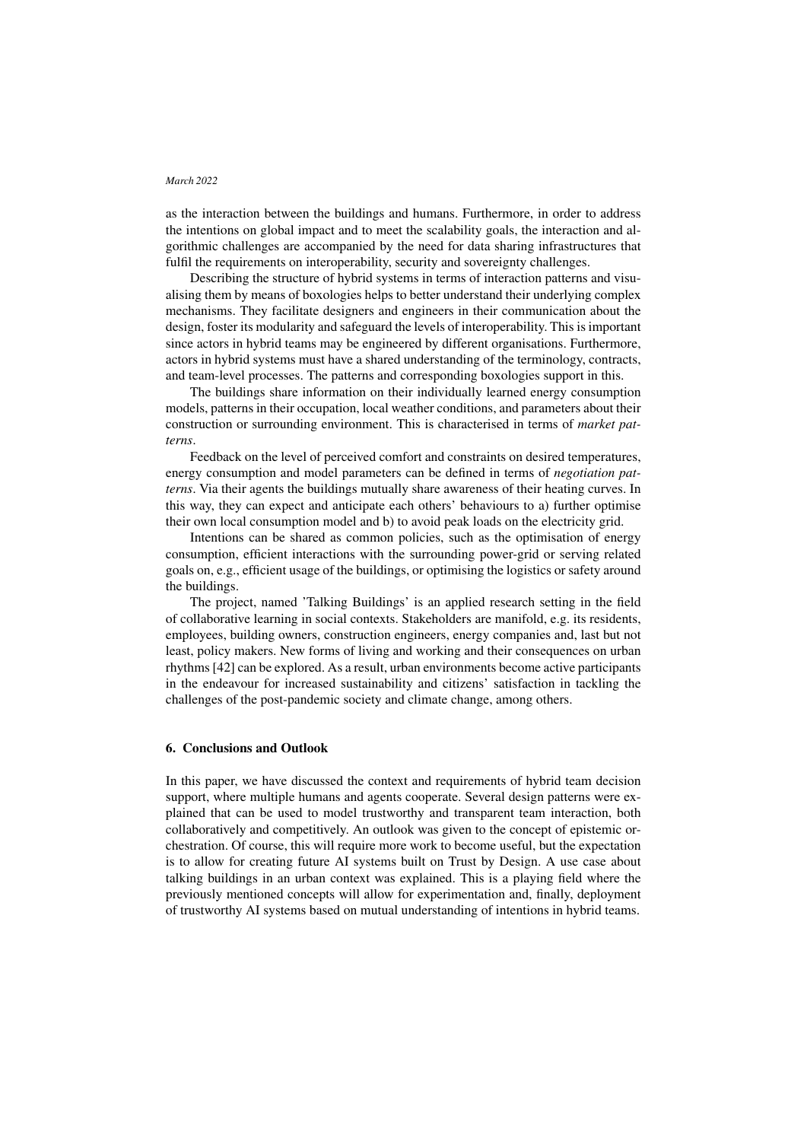as the interaction between the buildings and humans. Furthermore, in order to address the intentions on global impact and to meet the scalability goals, the interaction and algorithmic challenges are accompanied by the need for data sharing infrastructures that fulfil the requirements on interoperability, security and sovereignty challenges.

Describing the structure of hybrid systems in terms of interaction patterns and visualising them by means of boxologies helps to better understand their underlying complex mechanisms. They facilitate designers and engineers in their communication about the design, foster its modularity and safeguard the levels of interoperability. This is important since actors in hybrid teams may be engineered by different organisations. Furthermore, actors in hybrid systems must have a shared understanding of the terminology, contracts, and team-level processes. The patterns and corresponding boxologies support in this.

The buildings share information on their individually learned energy consumption models, patterns in their occupation, local weather conditions, and parameters about their construction or surrounding environment. This is characterised in terms of *market patterns*.

Feedback on the level of perceived comfort and constraints on desired temperatures, energy consumption and model parameters can be defined in terms of *negotiation patterns*. Via their agents the buildings mutually share awareness of their heating curves. In this way, they can expect and anticipate each others' behaviours to a) further optimise their own local consumption model and b) to avoid peak loads on the electricity grid.

Intentions can be shared as common policies, such as the optimisation of energy consumption, efficient interactions with the surrounding power-grid or serving related goals on, e.g., efficient usage of the buildings, or optimising the logistics or safety around the buildings.

The project, named 'Talking Buildings' is an applied research setting in the field of collaborative learning in social contexts. Stakeholders are manifold, e.g. its residents, employees, building owners, construction engineers, energy companies and, last but not least, policy makers. New forms of living and working and their consequences on urban rhythms [\[42\]](#page-11-7) can be explored. As a result, urban environments become active participants in the endeavour for increased sustainability and citizens' satisfaction in tackling the challenges of the post-pandemic society and climate change, among others.

# 6. Conclusions and Outlook

In this paper, we have discussed the context and requirements of hybrid team decision support, where multiple humans and agents cooperate. Several design patterns were explained that can be used to model trustworthy and transparent team interaction, both collaboratively and competitively. An outlook was given to the concept of epistemic orchestration. Of course, this will require more work to become useful, but the expectation is to allow for creating future AI systems built on Trust by Design. A use case about talking buildings in an urban context was explained. This is a playing field where the previously mentioned concepts will allow for experimentation and, finally, deployment of trustworthy AI systems based on mutual understanding of intentions in hybrid teams.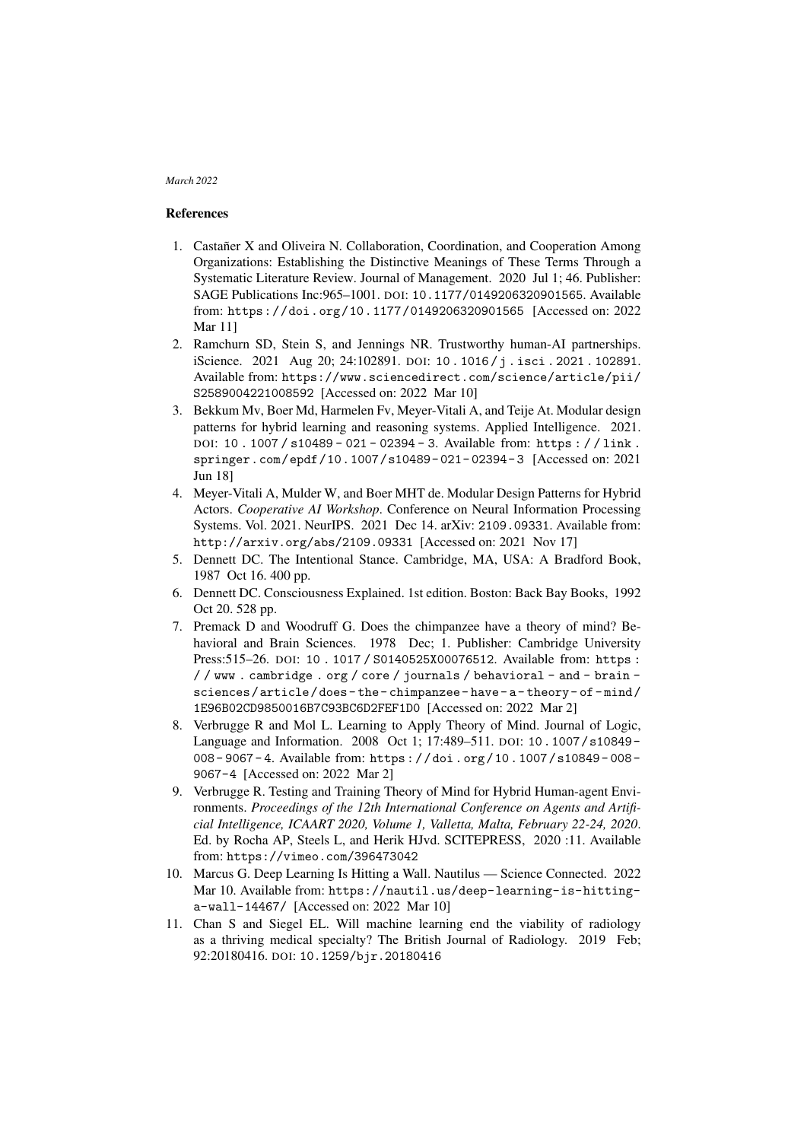# References

- <span id="page-8-0"></span>1. Castañer X and Oliveira N. Collaboration, Coordination, and Cooperation Among Organizations: Establishing the Distinctive Meanings of These Terms Through a Systematic Literature Review. Journal of Management. 2020 Jul 1; 46. Publisher: SAGE Publications Inc:965–1001. DOI: [10.1177/0149206320901565](https://doi.org/10.1177/0149206320901565). Available from: <https://doi.org/10.1177/0149206320901565> [Accessed on: 2022 Mar 11]
- <span id="page-8-1"></span>2. Ramchurn SD, Stein S, and Jennings NR. Trustworthy human-AI partnerships. iScience. 2021 Aug 20; 24:102891. DOI: [10 . 1016 / j . isci . 2021 . 102891](https://doi.org/10.1016/j.isci.2021.102891). Available from: [https://www.sciencedirect.com/science/article/pii/](https://www.sciencedirect.com/science/article/pii/S2589004221008592) [S2589004221008592](https://www.sciencedirect.com/science/article/pii/S2589004221008592) [Accessed on: 2022 Mar 10]
- <span id="page-8-2"></span>3. Bekkum Mv, Boer Md, Harmelen Fv, Meyer-Vitali A, and Teije At. Modular design patterns for hybrid learning and reasoning systems. Applied Intelligence. 2021. DOI: [10 . 1007 / s10489 - 021 - 02394 - 3](https://doi.org/10.1007/s10489-021-02394-3). Available from: [https : / / link .](https://link.springer.com/epdf/10.1007/s10489-021-02394-3) [springer.com/epdf/10.1007/s10489- 021- 02394- 3](https://link.springer.com/epdf/10.1007/s10489-021-02394-3) [Accessed on: 2021 Jun 18]
- <span id="page-8-3"></span>4. Meyer-Vitali A, Mulder W, and Boer MHT de. Modular Design Patterns for Hybrid Actors. *Cooperative AI Workshop*. Conference on Neural Information Processing Systems. Vol. 2021. NeurIPS. 2021 Dec 14. arXiv: [2109.09331](https://arxiv.org/abs/2109.09331). Available from: <http://arxiv.org/abs/2109.09331> [Accessed on: 2021 Nov 17]
- <span id="page-8-4"></span>5. Dennett DC. The Intentional Stance. Cambridge, MA, USA: A Bradford Book, 1987 Oct 16. 400 pp.
- <span id="page-8-5"></span>6. Dennett DC. Consciousness Explained. 1st edition. Boston: Back Bay Books, 1992 Oct 20. 528 pp.
- <span id="page-8-6"></span>7. Premack D and Woodruff G. Does the chimpanzee have a theory of mind? Behavioral and Brain Sciences. 1978 Dec; 1. Publisher: Cambridge University Press:515–26. DOI: [10 . 1017 / S0140525X00076512](https://doi.org/10.1017/S0140525X00076512). Available from: [https :](https://www.cambridge.org/core/journals/behavioral-and-brain-sciences/article/does-the-chimpanzee-have-a-theory-of-mind/1E96B02CD9850016B7C93BC6D2FEF1D0) [/ / www . cambridge . org / core / journals / behavioral - and - brain](https://www.cambridge.org/core/journals/behavioral-and-brain-sciences/article/does-the-chimpanzee-have-a-theory-of-mind/1E96B02CD9850016B7C93BC6D2FEF1D0)  [sciences/article/does- the- chimpanzee- have- a- theory- of- mind/](https://www.cambridge.org/core/journals/behavioral-and-brain-sciences/article/does-the-chimpanzee-have-a-theory-of-mind/1E96B02CD9850016B7C93BC6D2FEF1D0) [1E96B02CD9850016B7C93BC6D2FEF1D0](https://www.cambridge.org/core/journals/behavioral-and-brain-sciences/article/does-the-chimpanzee-have-a-theory-of-mind/1E96B02CD9850016B7C93BC6D2FEF1D0) [Accessed on: 2022 Mar 2]
- <span id="page-8-7"></span>8. Verbrugge R and Mol L. Learning to Apply Theory of Mind. Journal of Logic, Language and Information. 2008 Oct 1; 17:489–511. DOI: [10.1007/s10849-](https://doi.org/10.1007/s10849-008-9067-4) [008 - 9067 - 4](https://doi.org/10.1007/s10849-008-9067-4). Available from: [https : / / doi . org / 10 . 1007 / s10849 - 008 -](https://doi.org/10.1007/s10849-008-9067-4) [9067-4](https://doi.org/10.1007/s10849-008-9067-4) [Accessed on: 2022 Mar 2]
- <span id="page-8-8"></span>9. Verbrugge R. Testing and Training Theory of Mind for Hybrid Human-agent Environments. *Proceedings of the 12th International Conference on Agents and Artificial Intelligence, ICAART 2020, Volume 1, Valletta, Malta, February 22-24, 2020*. Ed. by Rocha AP, Steels L, and Herik HJvd. SCITEPRESS, 2020 :11. Available from: <https://vimeo.com/396473042>
- <span id="page-8-9"></span>10. Marcus G. Deep Learning Is Hitting a Wall. Nautilus — Science Connected. 2022 Mar 10. Available from: [https://nautil.us/deep-learning-is-hitting](https://nautil.us/deep-learning-is-hitting-a-wall-14467/)[a-wall-14467/](https://nautil.us/deep-learning-is-hitting-a-wall-14467/) [Accessed on: 2022 Mar 10]
- <span id="page-8-10"></span>11. Chan S and Siegel EL. Will machine learning end the viability of radiology as a thriving medical specialty? The British Journal of Radiology. 2019 Feb; 92:20180416. DOI: [10.1259/bjr.20180416](https://doi.org/10.1259/bjr.20180416)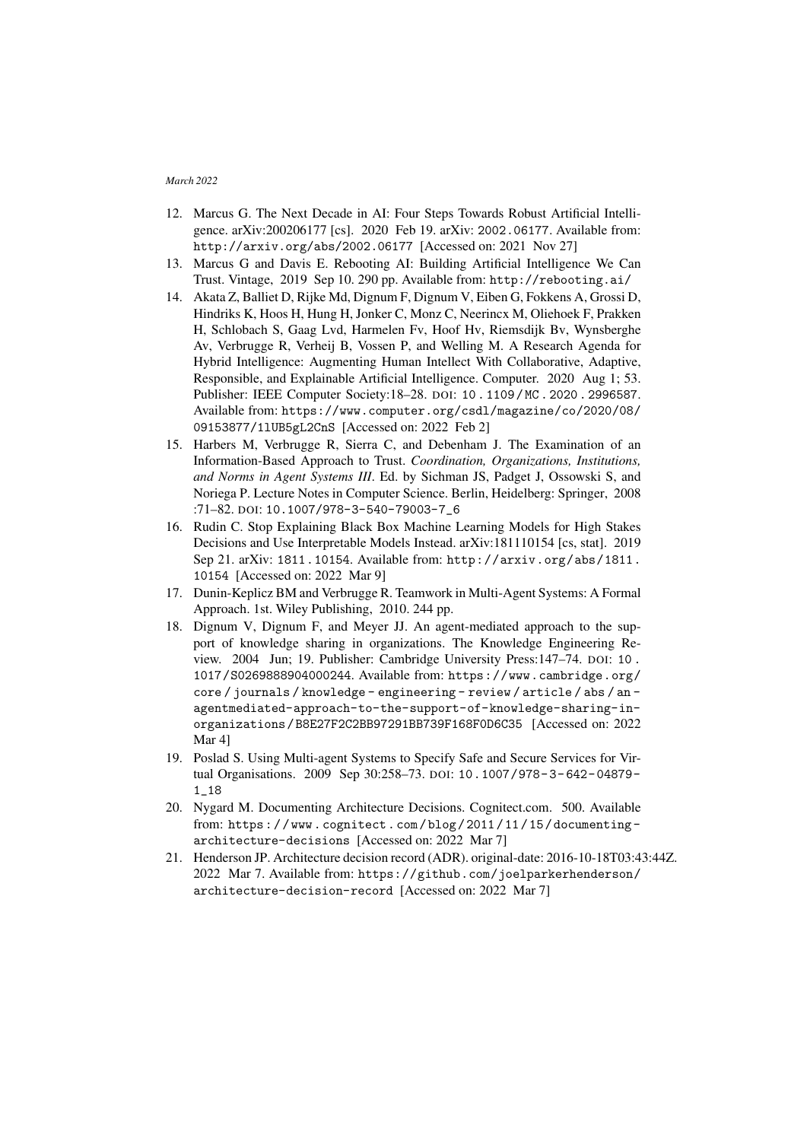- <span id="page-9-0"></span>12. Marcus G. The Next Decade in AI: Four Steps Towards Robust Artificial Intelligence. arXiv:200206177 [cs]. 2020 Feb 19. arXiv: [2002.06177](https://arxiv.org/abs/2002.06177). Available from: <http://arxiv.org/abs/2002.06177> [Accessed on: 2021 Nov 27]
- <span id="page-9-1"></span>13. Marcus G and Davis E. Rebooting AI: Building Artificial Intelligence We Can Trust. Vintage, 2019 Sep 10. 290 pp. Available from: <http://rebooting.ai/>
- <span id="page-9-2"></span>14. Akata Z, Balliet D, Rijke Md, Dignum F, Dignum V, Eiben G, Fokkens A, Grossi D, Hindriks K, Hoos H, Hung H, Jonker C, Monz C, Neerincx M, Oliehoek F, Prakken H, Schlobach S, Gaag Lvd, Harmelen Fv, Hoof Hv, Riemsdijk Bv, Wynsberghe Av, Verbrugge R, Verheij B, Vossen P, and Welling M. A Research Agenda for Hybrid Intelligence: Augmenting Human Intellect With Collaborative, Adaptive, Responsible, and Explainable Artificial Intelligence. Computer. 2020 Aug 1; 53. Publisher: IEEE Computer Society:18–28. DOI: [10 . 1109 / MC . 2020 . 2996587](https://doi.org/10.1109/MC.2020.2996587). Available from: [https://www.computer.org/csdl/magazine/co/2020/08/](https://www.computer.org/csdl/magazine/co/2020/08/09153877/1lUB5gL2CnS) [09153877/1lUB5gL2CnS](https://www.computer.org/csdl/magazine/co/2020/08/09153877/1lUB5gL2CnS) [Accessed on: 2022 Feb 2]
- <span id="page-9-3"></span>15. Harbers M, Verbrugge R, Sierra C, and Debenham J. The Examination of an Information-Based Approach to Trust. *Coordination, Organizations, Institutions, and Norms in Agent Systems III*. Ed. by Sichman JS, Padget J, Ossowski S, and Noriega P. Lecture Notes in Computer Science. Berlin, Heidelberg: Springer, 2008 :71–82. DOI: [10.1007/978-3-540-79003-7\\_6](https://doi.org/10.1007/978-3-540-79003-7_6)
- <span id="page-9-4"></span>16. Rudin C. Stop Explaining Black Box Machine Learning Models for High Stakes Decisions and Use Interpretable Models Instead. arXiv:181110154 [cs, stat]. 2019 Sep 21. arXiv: [1811.10154](https://arxiv.org/abs/1811.10154). Available from: [http://arxiv.org/abs/1811.](http://arxiv.org/abs/1811.10154) [10154](http://arxiv.org/abs/1811.10154) [Accessed on: 2022 Mar 9]
- <span id="page-9-5"></span>17. Dunin-Keplicz BM and Verbrugge R. Teamwork in Multi-Agent Systems: A Formal Approach. 1st. Wiley Publishing, 2010. 244 pp.
- <span id="page-9-6"></span>18. Dignum V, Dignum F, and Meyer JJ. An agent-mediated approach to the support of knowledge sharing in organizations. The Knowledge Engineering Review. 2004 Jun; 19. Publisher: Cambridge University Press:147–74. DOI: [10 .](https://doi.org/10.1017/S0269888904000244) [1017/S0269888904000244](https://doi.org/10.1017/S0269888904000244). Available from: [https://www.cambridge.org/](https://www.cambridge.org/core/journals/knowledge-engineering-review/article/abs/an-agentmediated-approach-to-the-support-of-knowledge-sharing-in-organizations/B8E27F2C2BB97291BB739F168F0D6C35) [core / journals / knowledge - engineering - review / article / abs / an](https://www.cambridge.org/core/journals/knowledge-engineering-review/article/abs/an-agentmediated-approach-to-the-support-of-knowledge-sharing-in-organizations/B8E27F2C2BB97291BB739F168F0D6C35)  [agentmediated-approach-to-the-support-of-knowledge-sharing-in](https://www.cambridge.org/core/journals/knowledge-engineering-review/article/abs/an-agentmediated-approach-to-the-support-of-knowledge-sharing-in-organizations/B8E27F2C2BB97291BB739F168F0D6C35)[organizations / B8E27F2C2BB97291BB739F168F0D6C35](https://www.cambridge.org/core/journals/knowledge-engineering-review/article/abs/an-agentmediated-approach-to-the-support-of-knowledge-sharing-in-organizations/B8E27F2C2BB97291BB739F168F0D6C35) [Accessed on: 2022 Mar 4]
- <span id="page-9-7"></span>19. Poslad S. Using Multi-agent Systems to Specify Safe and Secure Services for Virtual Organisations. 2009 Sep 30:258–73. DOI: [10.1007/978- 3- 642- 04879-](https://doi.org/10.1007/978-3-642-04879-1_18) [1\\_18](https://doi.org/10.1007/978-3-642-04879-1_18)
- <span id="page-9-8"></span>20. Nygard M. Documenting Architecture Decisions. Cognitect.com. 500. Available from: [https : / / www . cognitect . com / blog / 2011 / 11 / 15 / documenting](https://www.cognitect.com/blog/2011/11/15/documenting-architecture-decisions)  [architecture-decisions](https://www.cognitect.com/blog/2011/11/15/documenting-architecture-decisions) [Accessed on: 2022 Mar 7]
- <span id="page-9-9"></span>21. Henderson JP. Architecture decision record (ADR). original-date: 2016-10-18T03:43:44Z. 2022 Mar 7. Available from: [https://github.com/joelparkerhenderson/](https://github.com/joelparkerhenderson/architecture-decision-record) [architecture-decision-record](https://github.com/joelparkerhenderson/architecture-decision-record) [Accessed on: 2022 Mar 7]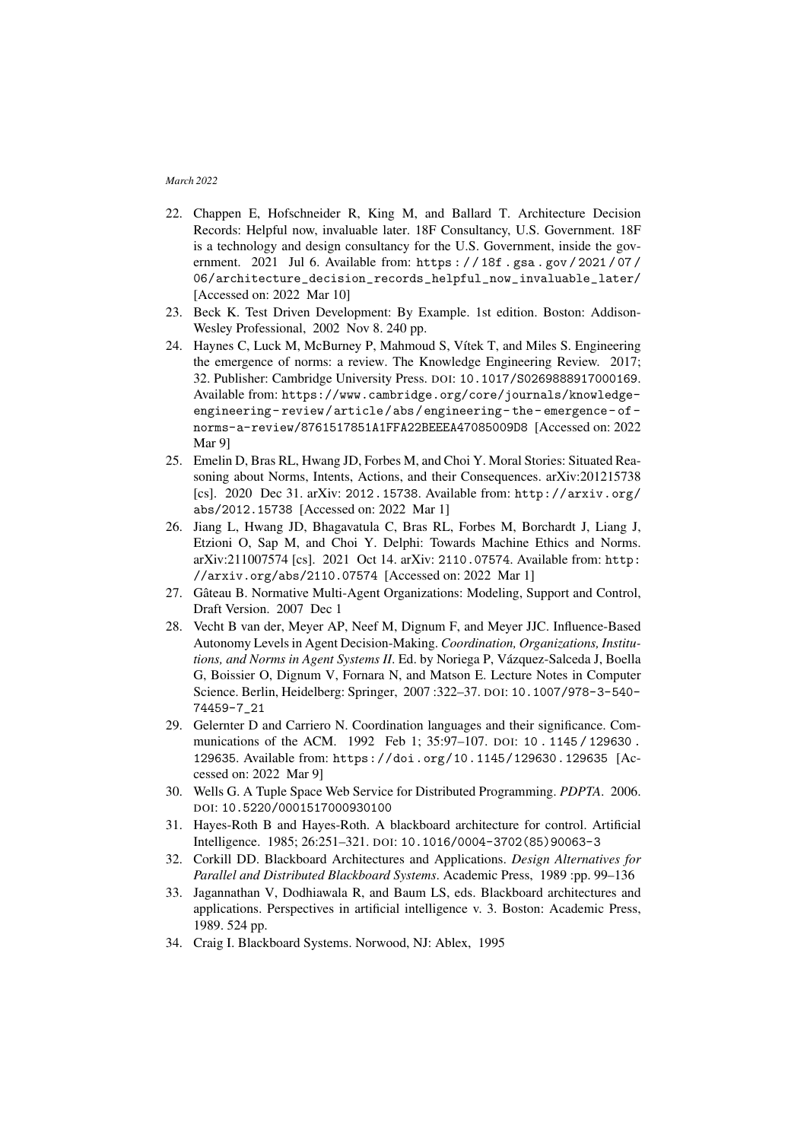- <span id="page-10-0"></span>22. Chappen E, Hofschneider R, King M, and Ballard T. Architecture Decision Records: Helpful now, invaluable later. 18F Consultancy, U.S. Government. 18F is a technology and design consultancy for the U.S. Government, inside the government. 2021 Jul 6. Available from: [https : / / 18f . gsa . gov / 2021 / 07 /](https://18f.gsa.gov/2021/07/06/architecture_decision_records_helpful_now_invaluable_later/) [06/architecture\\_decision\\_records\\_helpful\\_now\\_invaluable\\_later/](https://18f.gsa.gov/2021/07/06/architecture_decision_records_helpful_now_invaluable_later/) [Accessed on: 2022 Mar 10]
- <span id="page-10-1"></span>23. Beck K. Test Driven Development: By Example. 1st edition. Boston: Addison-Wesley Professional, 2002 Nov 8. 240 pp.
- <span id="page-10-2"></span>24. Haynes C, Luck M, McBurney P, Mahmoud S, Vítek T, and Miles S. Engineering the emergence of norms: a review. The Knowledge Engineering Review. 2017; 32. Publisher: Cambridge University Press. DOI: [10.1017/S0269888917000169](https://doi.org/10.1017/S0269888917000169). Available from: [https://www.cambridge.org/core/journals/knowledge](https://www.cambridge.org/core/journals/knowledge-engineering-review/article/abs/engineering-the-emergence-of-norms-a-review/8761517851A1FFA22BEEEA47085009D8)[engineering- review/article/abs/engineering- the- emergence- of](https://www.cambridge.org/core/journals/knowledge-engineering-review/article/abs/engineering-the-emergence-of-norms-a-review/8761517851A1FFA22BEEEA47085009D8)[norms-a-review/8761517851A1FFA22BEEEA47085009D8](https://www.cambridge.org/core/journals/knowledge-engineering-review/article/abs/engineering-the-emergence-of-norms-a-review/8761517851A1FFA22BEEEA47085009D8) [Accessed on: 2022 Mar 9]
- <span id="page-10-3"></span>25. Emelin D, Bras RL, Hwang JD, Forbes M, and Choi Y. Moral Stories: Situated Reasoning about Norms, Intents, Actions, and their Consequences. arXiv:201215738 [cs]. 2020 Dec 31. arXiv: [2012.15738](https://arxiv.org/abs/2012.15738). Available from: [http://arxiv.org/](http://arxiv.org/abs/2012.15738) [abs/2012.15738](http://arxiv.org/abs/2012.15738) [Accessed on: 2022 Mar 1]
- <span id="page-10-4"></span>26. Jiang L, Hwang JD, Bhagavatula C, Bras RL, Forbes M, Borchardt J, Liang J, Etzioni O, Sap M, and Choi Y. Delphi: Towards Machine Ethics and Norms. arXiv:211007574 [cs]. 2021 Oct 14. arXiv: [2110.07574](https://arxiv.org/abs/2110.07574). Available from: [http:](http://arxiv.org/abs/2110.07574) [//arxiv.org/abs/2110.07574](http://arxiv.org/abs/2110.07574) [Accessed on: 2022 Mar 1]
- <span id="page-10-5"></span>27. Gateau B. Normative Multi-Agent Organizations: Modeling, Support and Control, ˆ Draft Version. 2007 Dec 1
- <span id="page-10-6"></span>28. Vecht B van der, Meyer AP, Neef M, Dignum F, and Meyer JJC. Influence-Based Autonomy Levels in Agent Decision-Making. *Coordination, Organizations, Institutions, and Norms in Agent Systems II*. Ed. by Noriega P, Vazquez-Salceda J, Boella ´ G, Boissier O, Dignum V, Fornara N, and Matson E. Lecture Notes in Computer Science. Berlin, Heidelberg: Springer, 2007 :322–37. DOI: [10.1007/978-3-540-](https://doi.org/10.1007/978-3-540-74459-7_21) [74459-7\\_21](https://doi.org/10.1007/978-3-540-74459-7_21)
- <span id="page-10-7"></span>29. Gelernter D and Carriero N. Coordination languages and their significance. Communications of the ACM. 1992 Feb 1: 35:97-107. pol: 10. 1145 / 129630. [129635](https://doi.org/10.1145/129630.129635). Available from: <https://doi.org/10.1145/129630.129635> [Accessed on: 2022 Mar 9]
- <span id="page-10-8"></span>30. Wells G. A Tuple Space Web Service for Distributed Programming. *PDPTA*. 2006. DOI: [10.5220/0001517000930100](https://doi.org/10.5220/0001517000930100)
- <span id="page-10-9"></span>31. Hayes-Roth B and Hayes-Roth. A blackboard architecture for control. Artificial Intelligence. 1985; 26:251–321. DOI: [10.1016/0004-3702\(85\)90063-3](https://doi.org/10.1016/0004-3702(85)90063-3)
- <span id="page-10-10"></span>32. Corkill DD. Blackboard Architectures and Applications. *Design Alternatives for Parallel and Distributed Blackboard Systems*. Academic Press, 1989 :pp. 99–136
- <span id="page-10-11"></span>33. Jagannathan V, Dodhiawala R, and Baum LS, eds. Blackboard architectures and applications. Perspectives in artificial intelligence v. 3. Boston: Academic Press, 1989. 524 pp.
- <span id="page-10-12"></span>34. Craig I. Blackboard Systems. Norwood, NJ: Ablex, 1995